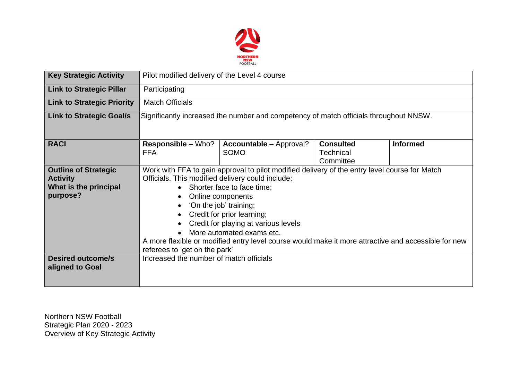

| <b>Key Strategic Activity</b>     | Pilot modified delivery of the Level 4 course                                                       |                                               |                                                   |                 |  |  |  |
|-----------------------------------|-----------------------------------------------------------------------------------------------------|-----------------------------------------------|---------------------------------------------------|-----------------|--|--|--|
| <b>Link to Strategic Pillar</b>   | Participating                                                                                       |                                               |                                                   |                 |  |  |  |
| <b>Link to Strategic Priority</b> | <b>Match Officials</b>                                                                              |                                               |                                                   |                 |  |  |  |
| <b>Link to Strategic Goal/s</b>   | Significantly increased the number and competency of match officials throughout NNSW.               |                                               |                                                   |                 |  |  |  |
| <b>RACI</b>                       | <b>Responsible - Who?</b><br><b>FFA</b>                                                             | <b>Accountable - Approval?</b><br><b>SOMO</b> | <b>Consulted</b><br><b>Technical</b><br>Committee | <b>Informed</b> |  |  |  |
| <b>Outline of Strategic</b>       | Work with FFA to gain approval to pilot modified delivery of the entry level course for Match       |                                               |                                                   |                 |  |  |  |
| <b>Activity</b>                   | Officials. This modified delivery could include:                                                    |                                               |                                                   |                 |  |  |  |
| What is the principal             | Shorter face to face time;<br>$\bullet$                                                             |                                               |                                                   |                 |  |  |  |
| purpose?                          | Online components<br>$\bullet$                                                                      |                                               |                                                   |                 |  |  |  |
|                                   | 'On the job' training;<br>٠                                                                         |                                               |                                                   |                 |  |  |  |
|                                   | Credit for prior learning;<br>$\bullet$                                                             |                                               |                                                   |                 |  |  |  |
|                                   | Credit for playing at various levels                                                                |                                               |                                                   |                 |  |  |  |
|                                   | More automated exams etc.<br>$\bullet$                                                              |                                               |                                                   |                 |  |  |  |
|                                   | A more flexible or modified entry level course would make it more attractive and accessible for new |                                               |                                                   |                 |  |  |  |
|                                   | referees to 'get on the park'                                                                       |                                               |                                                   |                 |  |  |  |
| <b>Desired outcome/s</b>          | Increased the number of match officials                                                             |                                               |                                                   |                 |  |  |  |
| aligned to Goal                   |                                                                                                     |                                               |                                                   |                 |  |  |  |
|                                   |                                                                                                     |                                               |                                                   |                 |  |  |  |